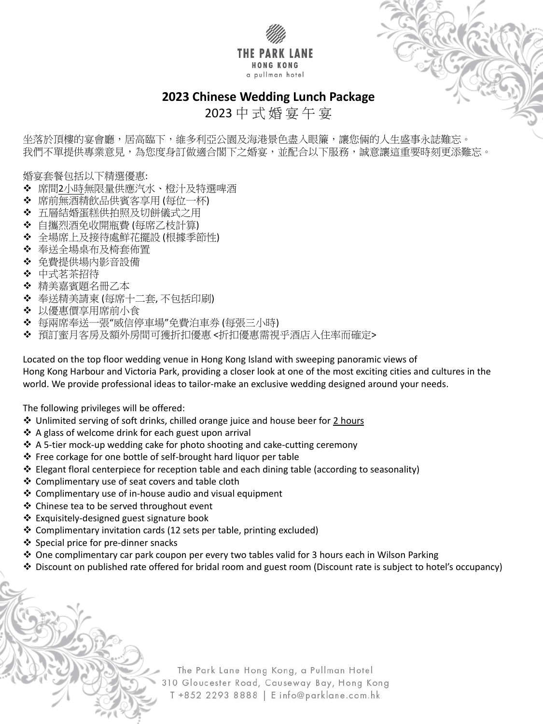

坐落於頂樓的宴會廳,居高臨下,維多利亞公園及海港景色盡入眼簾,讓您倆的人生盛事永誌難忘。 我們不單提供專業意見,為您度身訂做適合閣下之婚宴,並配合以下服務,誠意讓這重要時刻更添難忘。



2023 中 式 婚 宴 午 宴

婚宴套餐包括以下精選優惠:

- 席間2小時無限量供應汽水、橙汁及特選啤酒
- ◆ 席前無酒精飲品供賓客享用 (每位一杯)
- ◆ 五層結婚蛋糕供拍照及切餅儀式之用
- 自攜烈酒免收開瓶費 (每席乙枝計算)
- 全場席上及接待處鮮花擺設 (根據季節性)
- ◆ 奉送全場桌布及椅套佈置
- 免費提供場內影音設備
- ❖ 中式茗茶招待
- ◆ 精美嘉賓題名冊乙本
- 奉送精美請柬 (每席十二套, 不包括印刷)
- ◆ 以優惠價享用席前小食
- 每兩席奉送一張"威信停車場"免費泊車券 (每張三小時)
- 預訂蜜月客房及額外房間可獲折扣優惠 <折扣優惠需視乎酒店入住率而確定>

Located on the top floor wedding venue in Hong Kong Island with sweeping panoramic views of Hong Kong Harbour and Victoria Park, providing a closer look at one of the most exciting cities and cultures in the world. We provide professional ideas to tailor-make an exclusive wedding designed around your needs.

The following privileges will be offered:

- ◆ Unlimited serving of soft drinks, chilled orange juice and house beer for 2 hours
- A glass of welcome drink for each guest upon arrival
- ◆ A 5-tier mock-up wedding cake for photo shooting and cake-cutting ceremony
- Free corkage for one bottle of self-brought hard liquor per table
- Elegant floral centerpiece for reception table and each dining table (according to seasonality)
- Complimentary use of seat covers and table cloth
- Complimentary use of in-house audio and visual equipment
- ❖ Chinese tea to be served throughout event
- 
- Exquisitely-designed guest signature book
- Complimentary invitation cards (12 sets per table, printing excluded)
- ❖ Special price for pre-dinner snacks
- ◆ One complimentary car park coupon per every two tables valid for 3 hours each in Wilson Parking
- Discount on published rate offered for bridal room and guest room (Discount rate is subject to hotel's occupancy)

The Park Lane Hong Kong, a Pullman Hotel 310 Gloucester Road, Causeway Bay, Hong Kong T +852 2293 8888 | E info@parklane.com.hk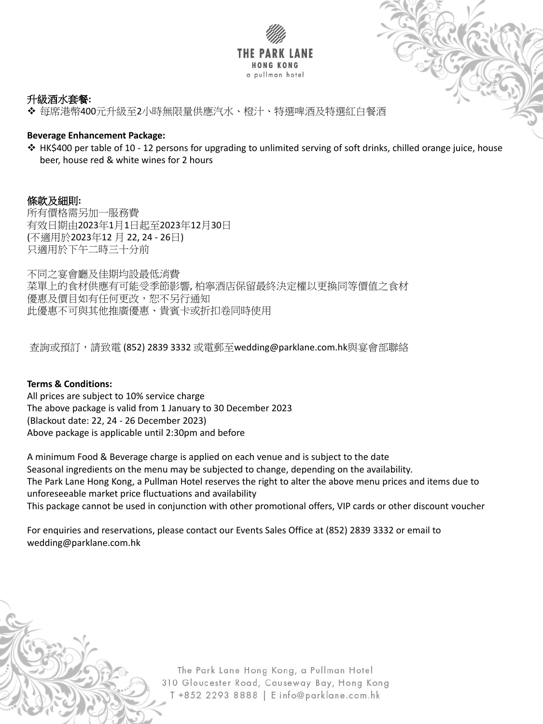



## 升級酒水套餐**:**

每席港幣400元升級至2小時無限量供應汽水、橙汁、特選啤酒及特選紅白餐酒

## **Beverage Enhancement Package:**

 HK\$400 per table of 10 - 12 persons for upgrading to unlimited serving of soft drinks, chilled orange juice, house beer, house red & white wines for 2 hours

條款及細則**:** 所有價格需另加一服務費 有效日期由2023年1月1日起至2023年12月30日 (不適用於2023年12 月 22, 24 - 26日) 只適用於下午二時三十分前

不同之宴會廳及佳期均設最低消費 菜單上的食材供應有可能受季節影響, 柏寧酒店保留最終決定權以更換同等價值之食材 優惠及價目如有任何更改,恕不另行通知 此優惠不可與其他推廣優惠、貴賓卡或折扣卷同時使用

查詢或預訂,請致電 (852) 2839 3332 或電郵至wedding@parklane.com.hk與宴會部聯絡

## **Terms & Conditions:**

All prices are subject to 10% service charge The above package is valid from 1 January to 30 December 2023 (Blackout date: 22, 24 - 26 December 2023) Above package is applicable until 2:30pm and before

A minimum Food & Beverage charge is applied on each venue and is subject to the date Seasonal ingredients on the menu may be subjected to change, depending on the availability. The Park Lane Hong Kong, a Pullman Hotel reserves the right to alter the above menu prices and items due to unforeseeable market price fluctuations and availability This package cannot be used in conjunction with other promotional offers, VIP cards or other discount voucher

For enquiries and reservations, please contact our Events Sales Office at (852) 2839 3332 or email to wedding@parklane.com.hk

> The Park Lane Hong Kong, a Pullman Hotel 310 Gloucester Road, Causeway Bay, Hong Kong T +852 2293 8888 | E info@parklane.com.hk